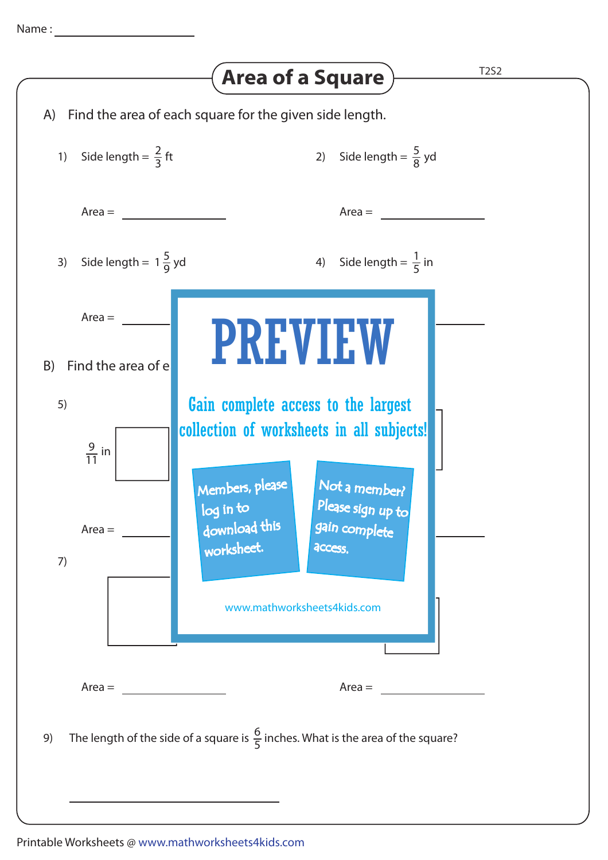